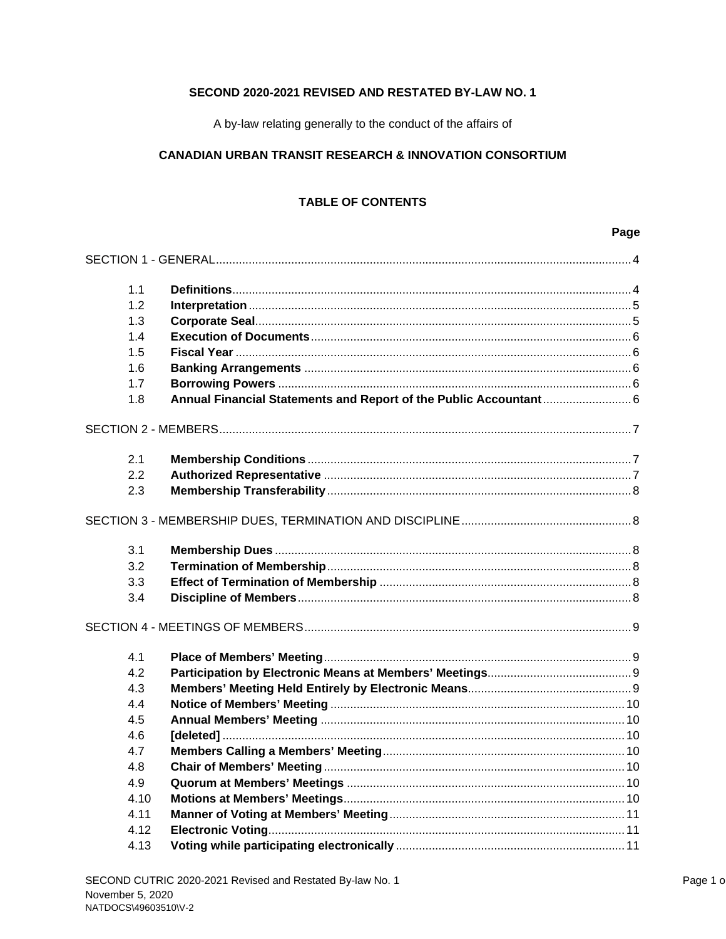# SECOND 2020-2021 REVISED AND RESTATED BY-LAW NO. 1

A by-law relating generally to the conduct of the affairs of

## **CANADIAN URBAN TRANSIT RESEARCH & INNOVATION CONSORTIUM**

# **TABLE OF CONTENTS**

# Page

| 1.1  |                                                                   |  |
|------|-------------------------------------------------------------------|--|
| 1.2  |                                                                   |  |
| 1.3  |                                                                   |  |
| 1.4  |                                                                   |  |
| 1.5  |                                                                   |  |
| 1.6  |                                                                   |  |
| 1.7  |                                                                   |  |
| 1.8  | Annual Financial Statements and Report of the Public Accountant 6 |  |
|      |                                                                   |  |
| 2.1  |                                                                   |  |
| 2.2  |                                                                   |  |
| 2.3  |                                                                   |  |
|      |                                                                   |  |
| 3.1  |                                                                   |  |
| 3.2  |                                                                   |  |
| 3.3  |                                                                   |  |
| 3.4  |                                                                   |  |
|      |                                                                   |  |
| 4.1  |                                                                   |  |
| 4.2  |                                                                   |  |
| 4.3  |                                                                   |  |
| 4.4  |                                                                   |  |
| 4.5  |                                                                   |  |
| 4.6  |                                                                   |  |
| 4.7  |                                                                   |  |
| 4.8  |                                                                   |  |
| 4.9  |                                                                   |  |
| 4.10 |                                                                   |  |
| 4.11 |                                                                   |  |
| 4.12 |                                                                   |  |
| 4.13 |                                                                   |  |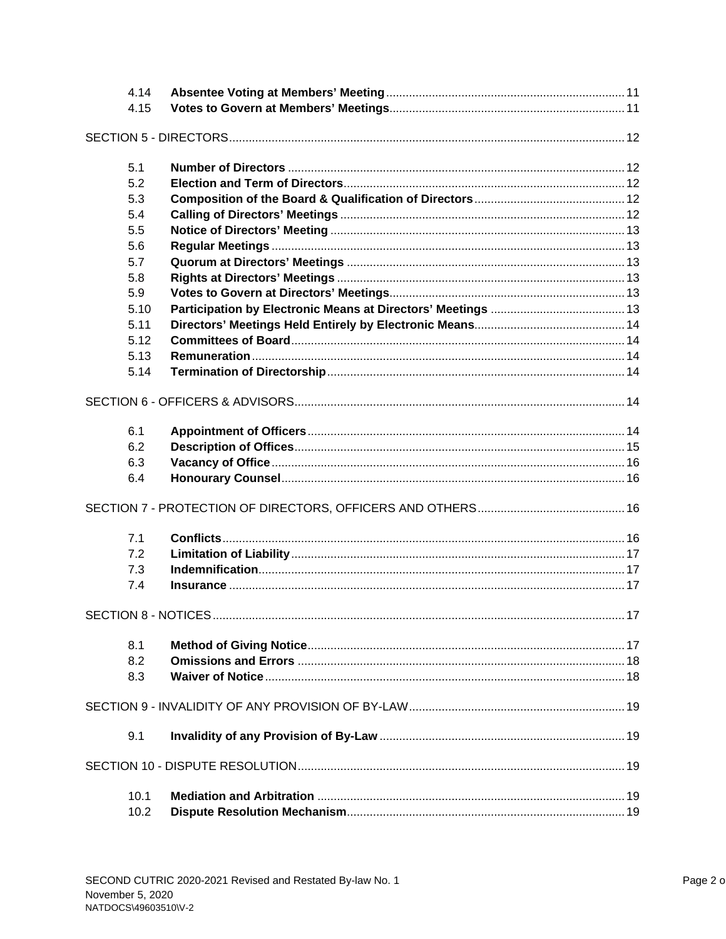| 4.14<br>4.15 |  |  |
|--------------|--|--|
|              |  |  |
| 5.1          |  |  |
| 5.2          |  |  |
| 5.3          |  |  |
| 5.4          |  |  |
| 5.5          |  |  |
| 5.6          |  |  |
| 5.7          |  |  |
| 5.8          |  |  |
| 5.9          |  |  |
| 5.10         |  |  |
| 5.11         |  |  |
| 5.12         |  |  |
| 5.13         |  |  |
| 5.14         |  |  |
|              |  |  |
| 6.1          |  |  |
| 6.2          |  |  |
| 6.3          |  |  |
| 6.4          |  |  |
|              |  |  |
| 7.1          |  |  |
| 7.2          |  |  |
| 7.3          |  |  |
| 7.4          |  |  |
|              |  |  |
| 8.1          |  |  |
| 8.2          |  |  |
| 8.3          |  |  |
|              |  |  |
| 9.1          |  |  |
|              |  |  |
| 10.1         |  |  |
| 10.2         |  |  |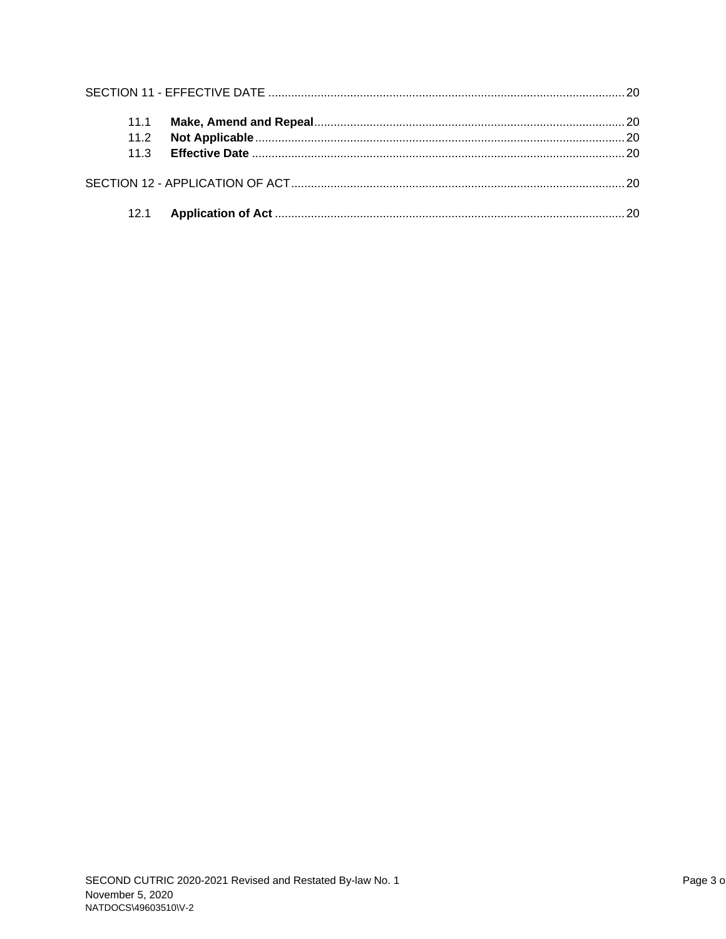| 11.1 |  |
|------|--|
| 11.2 |  |
| 11.3 |  |
|      |  |
|      |  |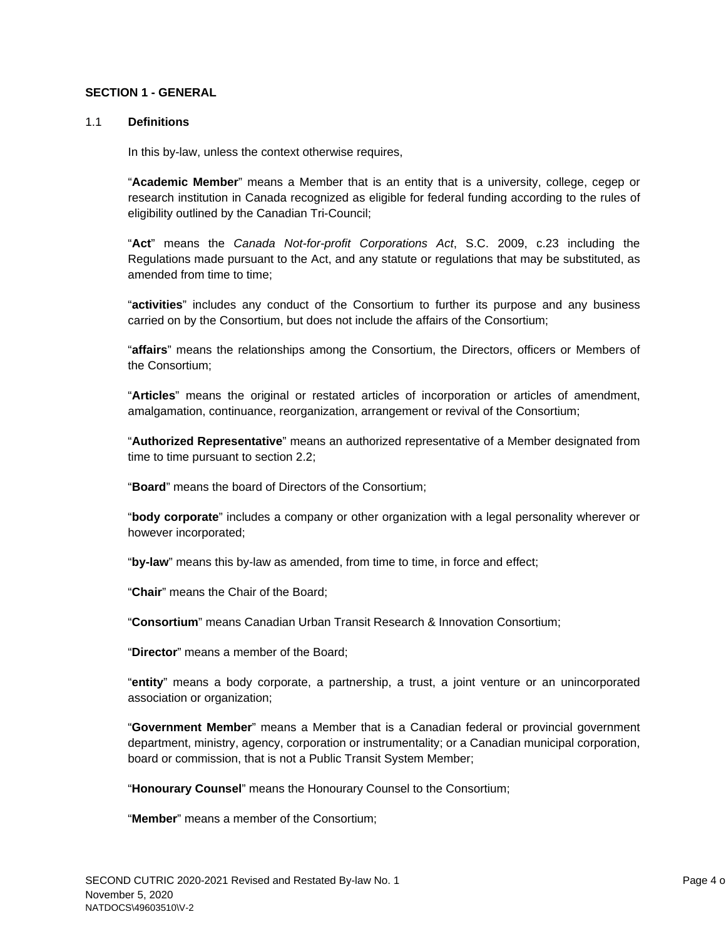### **SECTION 1 - GENERAL**

### 1.1 **Definitions**

In this by-law, unless the context otherwise requires,

"**Academic Member**" means a Member that is an entity that is a university, college, cegep or research institution in Canada recognized as eligible for federal funding according to the rules of eligibility outlined by the Canadian Tri-Council;

"**Act**" means the *Canada Not-for-profit Corporations Act*, S.C. 2009, c.23 including the Regulations made pursuant to the Act, and any statute or regulations that may be substituted, as amended from time to time;

"**activities**" includes any conduct of the Consortium to further its purpose and any business carried on by the Consortium, but does not include the affairs of the Consortium;

"**affairs**" means the relationships among the Consortium, the Directors, officers or Members of the Consortium;

"**Articles**" means the original or restated articles of incorporation or articles of amendment, amalgamation, continuance, reorganization, arrangement or revival of the Consortium;

"**Authorized Representative**" means an authorized representative of a Member designated from time to time pursuant to section 2.2;

"**Board**" means the board of Directors of the Consortium;

"**body corporate**" includes a company or other organization with a legal personality wherever or however incorporated;

"**by-law**" means this by-law as amended, from time to time, in force and effect;

"**Chair**" means the Chair of the Board;

"**Consortium**" means Canadian Urban Transit Research & Innovation Consortium;

"**Director**" means a member of the Board;

"**entity**" means a body corporate, a partnership, a trust, a joint venture or an unincorporated association or organization;

"**Government Member**" means a Member that is a Canadian federal or provincial government department, ministry, agency, corporation or instrumentality; or a Canadian municipal corporation, board or commission, that is not a Public Transit System Member;

"**Honourary Counsel**" means the Honourary Counsel to the Consortium;

"**Member**" means a member of the Consortium;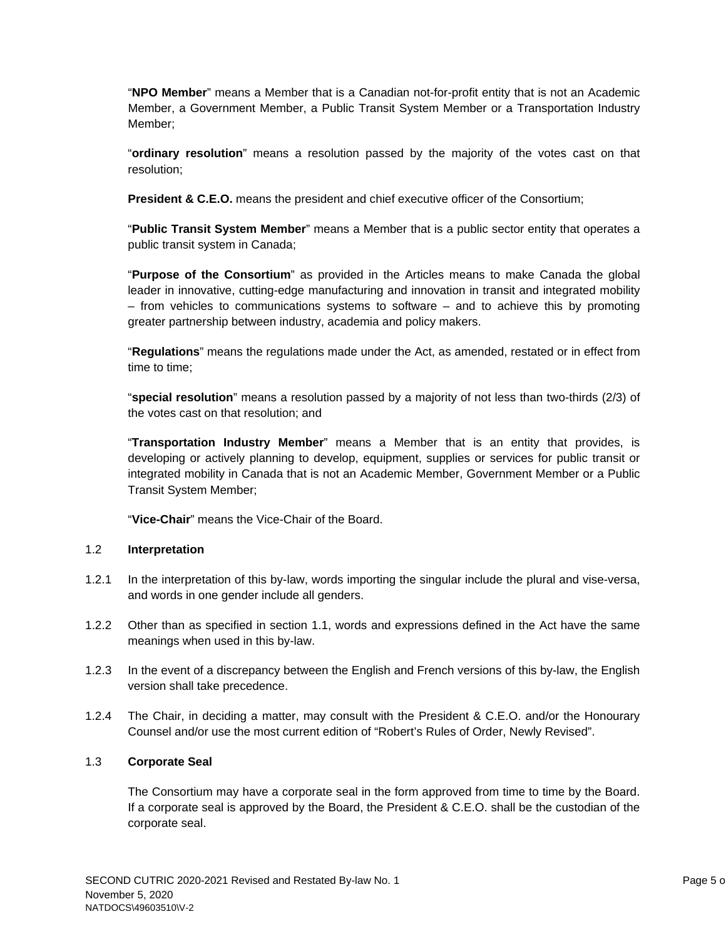"**NPO Member**" means a Member that is a Canadian not-for-profit entity that is not an Academic Member, a Government Member, a Public Transit System Member or a Transportation Industry Member;

"**ordinary resolution**" means a resolution passed by the majority of the votes cast on that resolution;

**President & C.E.O.** means the president and chief executive officer of the Consortium;

"**Public Transit System Member**" means a Member that is a public sector entity that operates a public transit system in Canada;

"**Purpose of the Consortium**" as provided in the Articles means to make Canada the global leader in innovative, cutting-edge manufacturing and innovation in transit and integrated mobility – from vehicles to communications systems to software – and to achieve this by promoting greater partnership between industry, academia and policy makers.

"**Regulations**" means the regulations made under the Act, as amended, restated or in effect from time to time;

"**special resolution**" means a resolution passed by a majority of not less than two-thirds (2/3) of the votes cast on that resolution; and

"**Transportation Industry Member**" means a Member that is an entity that provides, is developing or actively planning to develop, equipment, supplies or services for public transit or integrated mobility in Canada that is not an Academic Member, Government Member or a Public Transit System Member;

"**Vice-Chair**" means the Vice-Chair of the Board.

# 1.2 **Interpretation**

- 1.2.1 In the interpretation of this by-law, words importing the singular include the plural and vise-versa, and words in one gender include all genders.
- 1.2.2 Other than as specified in section 1.1, words and expressions defined in the Act have the same meanings when used in this by-law.
- 1.2.3 In the event of a discrepancy between the English and French versions of this by-law, the English version shall take precedence.
- 1.2.4 The Chair, in deciding a matter, may consult with the President & C.E.O. and/or the Honourary Counsel and/or use the most current edition of "Robert's Rules of Order, Newly Revised".

# 1.3 **Corporate Seal**

The Consortium may have a corporate seal in the form approved from time to time by the Board. If a corporate seal is approved by the Board, the President & C.E.O. shall be the custodian of the corporate seal.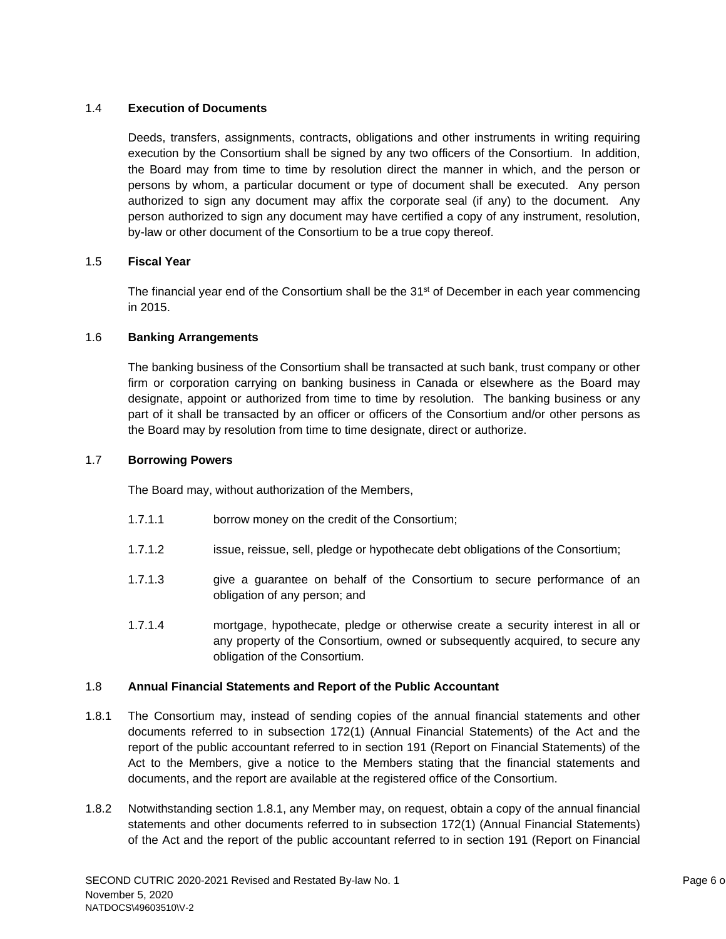# 1.4 **Execution of Documents**

Deeds, transfers, assignments, contracts, obligations and other instruments in writing requiring execution by the Consortium shall be signed by any two officers of the Consortium. In addition, the Board may from time to time by resolution direct the manner in which, and the person or persons by whom, a particular document or type of document shall be executed. Any person authorized to sign any document may affix the corporate seal (if any) to the document. Any person authorized to sign any document may have certified a copy of any instrument, resolution, by-law or other document of the Consortium to be a true copy thereof.

### 1.5 **Fiscal Year**

The financial year end of the Consortium shall be the 31<sup>st</sup> of December in each year commencing in 2015.

### 1.6 **Banking Arrangements**

The banking business of the Consortium shall be transacted at such bank, trust company or other firm or corporation carrying on banking business in Canada or elsewhere as the Board may designate, appoint or authorized from time to time by resolution. The banking business or any part of it shall be transacted by an officer or officers of the Consortium and/or other persons as the Board may by resolution from time to time designate, direct or authorize.

### 1.7 **Borrowing Powers**

The Board may, without authorization of the Members,

- 1.7.1.1 borrow money on the credit of the Consortium;
- 1.7.1.2 issue, reissue, sell, pledge or hypothecate debt obligations of the Consortium;
- 1.7.1.3 give a guarantee on behalf of the Consortium to secure performance of an obligation of any person; and
- 1.7.1.4 mortgage, hypothecate, pledge or otherwise create a security interest in all or any property of the Consortium, owned or subsequently acquired, to secure any obligation of the Consortium.

### 1.8 **Annual Financial Statements and Report of the Public Accountant**

- 1.8.1 The Consortium may, instead of sending copies of the annual financial statements and other documents referred to in subsection 172(1) (Annual Financial Statements) of the Act and the report of the public accountant referred to in section 191 (Report on Financial Statements) of the Act to the Members, give a notice to the Members stating that the financial statements and documents, and the report are available at the registered office of the Consortium.
- 1.8.2 Notwithstanding section 1.8.1, any Member may, on request, obtain a copy of the annual financial statements and other documents referred to in subsection 172(1) (Annual Financial Statements) of the Act and the report of the public accountant referred to in section 191 (Report on Financial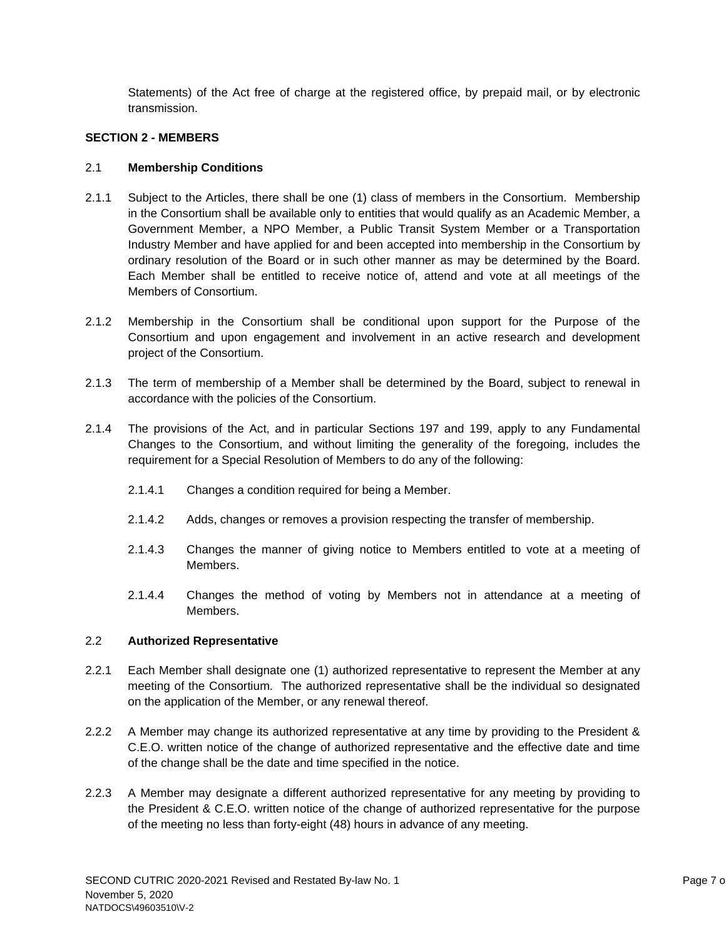Statements) of the Act free of charge at the registered office, by prepaid mail, or by electronic transmission.

# **SECTION 2 - MEMBERS**

# 2.1 **Membership Conditions**

- 2.1.1 Subject to the Articles, there shall be one (1) class of members in the Consortium. Membership in the Consortium shall be available only to entities that would qualify as an Academic Member, a Government Member, a NPO Member, a Public Transit System Member or a Transportation Industry Member and have applied for and been accepted into membership in the Consortium by ordinary resolution of the Board or in such other manner as may be determined by the Board. Each Member shall be entitled to receive notice of, attend and vote at all meetings of the Members of Consortium.
- 2.1.2 Membership in the Consortium shall be conditional upon support for the Purpose of the Consortium and upon engagement and involvement in an active research and development project of the Consortium.
- 2.1.3 The term of membership of a Member shall be determined by the Board, subject to renewal in accordance with the policies of the Consortium.
- 2.1.4 The provisions of the Act, and in particular Sections 197 and 199, apply to any Fundamental Changes to the Consortium, and without limiting the generality of the foregoing, includes the requirement for a Special Resolution of Members to do any of the following:
	- 2.1.4.1 Changes a condition required for being a Member.
	- 2.1.4.2 Adds, changes or removes a provision respecting the transfer of membership.
	- 2.1.4.3 Changes the manner of giving notice to Members entitled to vote at a meeting of Members.
	- 2.1.4.4 Changes the method of voting by Members not in attendance at a meeting of Members.

# 2.2 **Authorized Representative**

- 2.2.1 Each Member shall designate one (1) authorized representative to represent the Member at any meeting of the Consortium. The authorized representative shall be the individual so designated on the application of the Member, or any renewal thereof.
- 2.2.2 A Member may change its authorized representative at any time by providing to the President & C.E.O. written notice of the change of authorized representative and the effective date and time of the change shall be the date and time specified in the notice.
- 2.2.3 A Member may designate a different authorized representative for any meeting by providing to the President & C.E.O. written notice of the change of authorized representative for the purpose of the meeting no less than forty-eight (48) hours in advance of any meeting.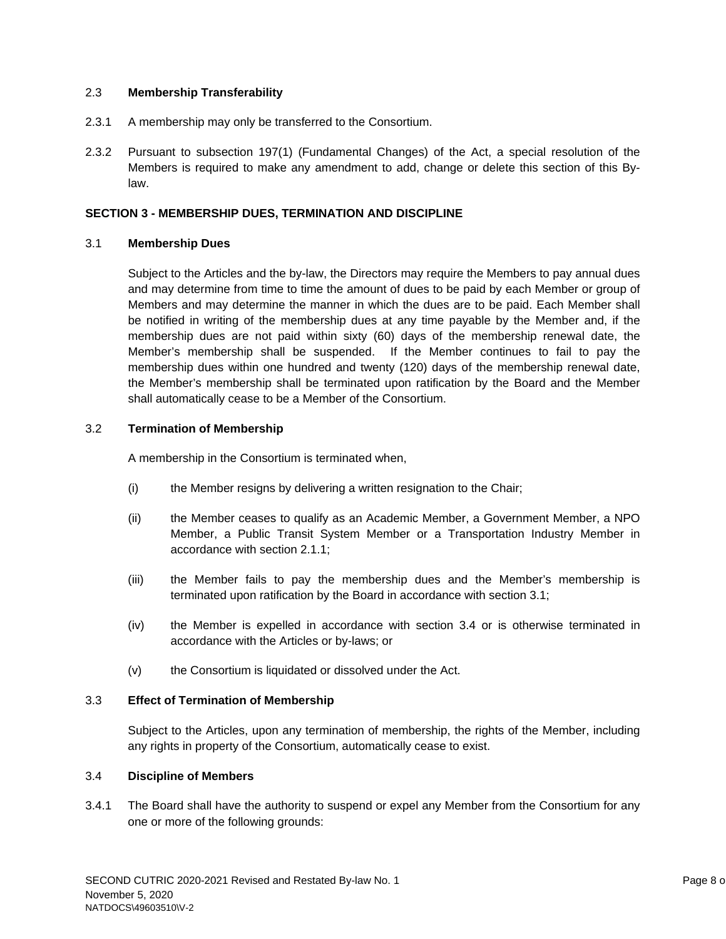# 2.3 **Membership Transferability**

- 2.3.1 A membership may only be transferred to the Consortium.
- 2.3.2 Pursuant to subsection 197(1) (Fundamental Changes) of the Act, a special resolution of the Members is required to make any amendment to add, change or delete this section of this Bylaw.

### **SECTION 3 - MEMBERSHIP DUES, TERMINATION AND DISCIPLINE**

### 3.1 **Membership Dues**

Subject to the Articles and the by-law, the Directors may require the Members to pay annual dues and may determine from time to time the amount of dues to be paid by each Member or group of Members and may determine the manner in which the dues are to be paid. Each Member shall be notified in writing of the membership dues at any time payable by the Member and, if the membership dues are not paid within sixty (60) days of the membership renewal date, the Member's membership shall be suspended. If the Member continues to fail to pay the membership dues within one hundred and twenty (120) days of the membership renewal date, the Member's membership shall be terminated upon ratification by the Board and the Member shall automatically cease to be a Member of the Consortium.

### 3.2 **Termination of Membership**

A membership in the Consortium is terminated when,

- (i) the Member resigns by delivering a written resignation to the Chair;
- (ii) the Member ceases to qualify as an Academic Member, a Government Member, a NPO Member, a Public Transit System Member or a Transportation Industry Member in accordance with section 2.1.1;
- (iii) the Member fails to pay the membership dues and the Member's membership is terminated upon ratification by the Board in accordance with section 3.1;
- (iv) the Member is expelled in accordance with section 3.4 or is otherwise terminated in accordance with the Articles or by-laws; or
- (v) the Consortium is liquidated or dissolved under the Act.

### 3.3 **Effect of Termination of Membership**

Subject to the Articles, upon any termination of membership, the rights of the Member, including any rights in property of the Consortium, automatically cease to exist.

### 3.4 **Discipline of Members**

3.4.1 The Board shall have the authority to suspend or expel any Member from the Consortium for any one or more of the following grounds: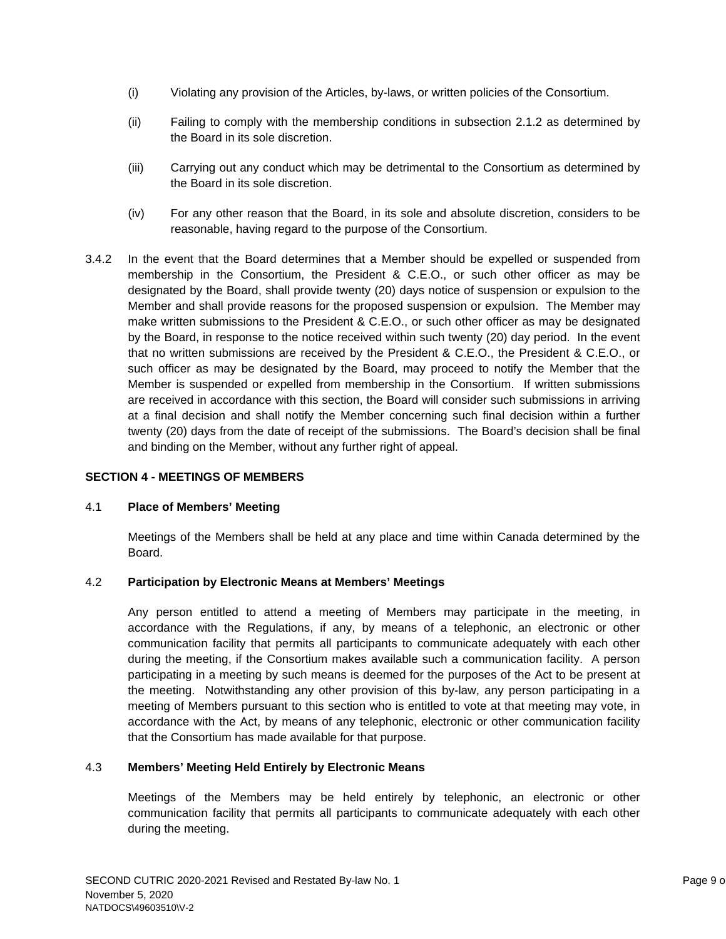- (i) Violating any provision of the Articles, by-laws, or written policies of the Consortium.
- (ii) Failing to comply with the membership conditions in subsection 2.1.2 as determined by the Board in its sole discretion.
- (iii) Carrying out any conduct which may be detrimental to the Consortium as determined by the Board in its sole discretion.
- (iv) For any other reason that the Board, in its sole and absolute discretion, considers to be reasonable, having regard to the purpose of the Consortium.
- 3.4.2 In the event that the Board determines that a Member should be expelled or suspended from membership in the Consortium, the President & C.E.O., or such other officer as may be designated by the Board, shall provide twenty (20) days notice of suspension or expulsion to the Member and shall provide reasons for the proposed suspension or expulsion. The Member may make written submissions to the President & C.E.O., or such other officer as may be designated by the Board, in response to the notice received within such twenty (20) day period. In the event that no written submissions are received by the President & C.E.O., the President & C.E.O., or such officer as may be designated by the Board, may proceed to notify the Member that the Member is suspended or expelled from membership in the Consortium. If written submissions are received in accordance with this section, the Board will consider such submissions in arriving at a final decision and shall notify the Member concerning such final decision within a further twenty (20) days from the date of receipt of the submissions. The Board's decision shall be final and binding on the Member, without any further right of appeal.

# **SECTION 4 - MEETINGS OF MEMBERS**

### 4.1 **Place of Members' Meeting**

Meetings of the Members shall be held at any place and time within Canada determined by the Board.

### 4.2 **Participation by Electronic Means at Members' Meetings**

Any person entitled to attend a meeting of Members may participate in the meeting, in accordance with the Regulations, if any, by means of a telephonic, an electronic or other communication facility that permits all participants to communicate adequately with each other during the meeting, if the Consortium makes available such a communication facility. A person participating in a meeting by such means is deemed for the purposes of the Act to be present at the meeting. Notwithstanding any other provision of this by-law, any person participating in a meeting of Members pursuant to this section who is entitled to vote at that meeting may vote, in accordance with the Act, by means of any telephonic, electronic or other communication facility that the Consortium has made available for that purpose.

### 4.3 **Members' Meeting Held Entirely by Electronic Means**

Meetings of the Members may be held entirely by telephonic, an electronic or other communication facility that permits all participants to communicate adequately with each other during the meeting.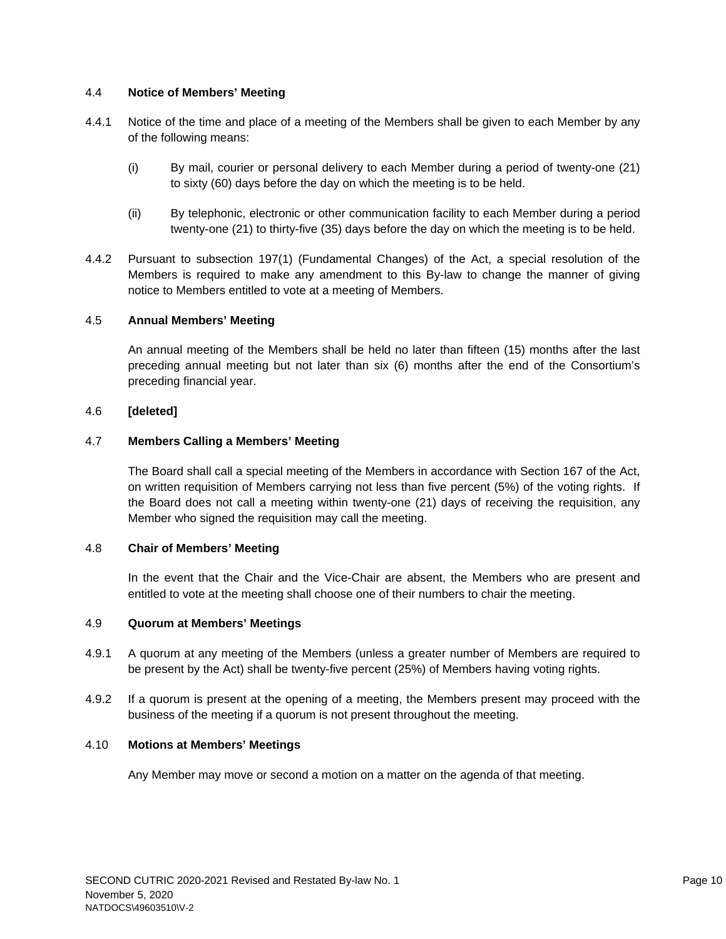# 4.4 **Notice of Members' Meeting**

- 4.4.1 Notice of the time and place of a meeting of the Members shall be given to each Member by any of the following means:
	- (i) By mail, courier or personal delivery to each Member during a period of twenty-one (21) to sixty (60) days before the day on which the meeting is to be held.
	- (ii) By telephonic, electronic or other communication facility to each Member during a period twenty-one (21) to thirty-five (35) days before the day on which the meeting is to be held.
- 4.4.2 Pursuant to subsection 197(1) (Fundamental Changes) of the Act, a special resolution of the Members is required to make any amendment to this By-law to change the manner of giving notice to Members entitled to vote at a meeting of Members.

## 4.5 **Annual Members' Meeting**

An annual meeting of the Members shall be held no later than fifteen (15) months after the last preceding annual meeting but not later than six (6) months after the end of the Consortium's preceding financial year.

## 4.6 **[deleted]**

### 4.7 **Members Calling a Members' Meeting**

The Board shall call a special meeting of the Members in accordance with Section 167 of the Act, on written requisition of Members carrying not less than five percent (5%) of the voting rights. If the Board does not call a meeting within twenty-one (21) days of receiving the requisition, any Member who signed the requisition may call the meeting.

### 4.8 **Chair of Members' Meeting**

In the event that the Chair and the Vice-Chair are absent, the Members who are present and entitled to vote at the meeting shall choose one of their numbers to chair the meeting.

### 4.9 **Quorum at Members' Meetings**

- 4.9.1 A quorum at any meeting of the Members (unless a greater number of Members are required to be present by the Act) shall be twenty-five percent (25%) of Members having voting rights.
- 4.9.2 If a quorum is present at the opening of a meeting, the Members present may proceed with the business of the meeting if a quorum is not present throughout the meeting.

### 4.10 **Motions at Members' Meetings**

Any Member may move or second a motion on a matter on the agenda of that meeting.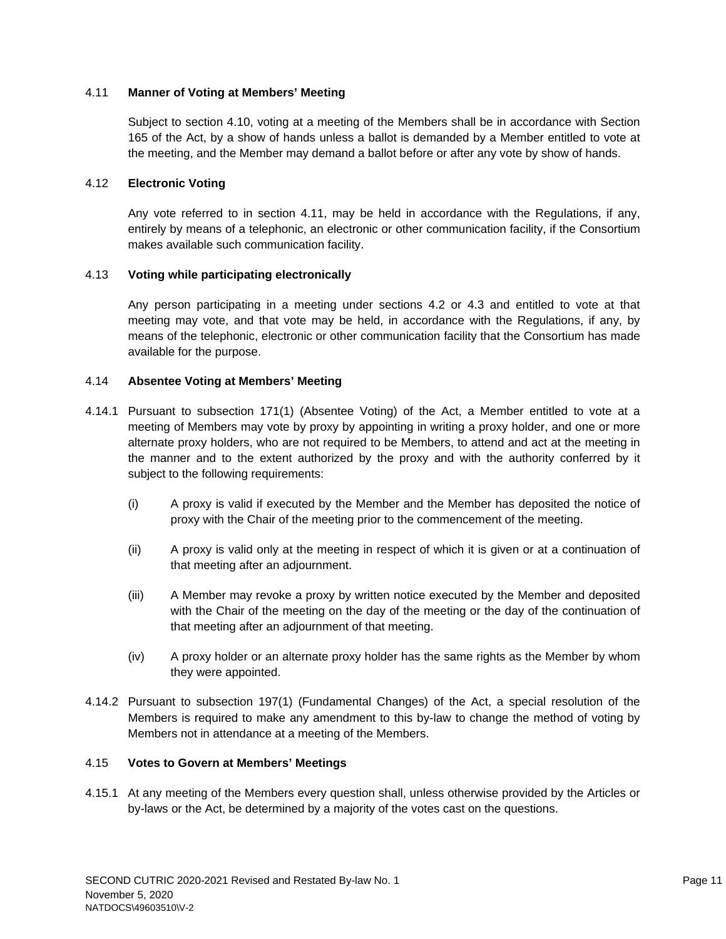# 4.11 **Manner of Voting at Members' Meeting**

Subject to section 4.10, voting at a meeting of the Members shall be in accordance with Section 165 of the Act, by a show of hands unless a ballot is demanded by a Member entitled to vote at the meeting, and the Member may demand a ballot before or after any vote by show of hands.

## 4.12 **Electronic Voting**

Any vote referred to in section 4.11, may be held in accordance with the Regulations, if any, entirely by means of a telephonic, an electronic or other communication facility, if the Consortium makes available such communication facility.

### 4.13 **Voting while participating electronically**

Any person participating in a meeting under sections 4.2 or 4.3 and entitled to vote at that meeting may vote, and that vote may be held, in accordance with the Regulations, if any, by means of the telephonic, electronic or other communication facility that the Consortium has made available for the purpose.

### 4.14 **Absentee Voting at Members' Meeting**

- 4.14.1 Pursuant to subsection 171(1) (Absentee Voting) of the Act, a Member entitled to vote at a meeting of Members may vote by proxy by appointing in writing a proxy holder, and one or more alternate proxy holders, who are not required to be Members, to attend and act at the meeting in the manner and to the extent authorized by the proxy and with the authority conferred by it subject to the following requirements:
	- (i) A proxy is valid if executed by the Member and the Member has deposited the notice of proxy with the Chair of the meeting prior to the commencement of the meeting.
	- (ii) A proxy is valid only at the meeting in respect of which it is given or at a continuation of that meeting after an adjournment.
	- (iii) A Member may revoke a proxy by written notice executed by the Member and deposited with the Chair of the meeting on the day of the meeting or the day of the continuation of that meeting after an adjournment of that meeting.
	- (iv) A proxy holder or an alternate proxy holder has the same rights as the Member by whom they were appointed.
- 4.14.2 Pursuant to subsection 197(1) (Fundamental Changes) of the Act, a special resolution of the Members is required to make any amendment to this by-law to change the method of voting by Members not in attendance at a meeting of the Members.

### 4.15 **Votes to Govern at Members' Meetings**

4.15.1 At any meeting of the Members every question shall, unless otherwise provided by the Articles or by-laws or the Act, be determined by a majority of the votes cast on the questions.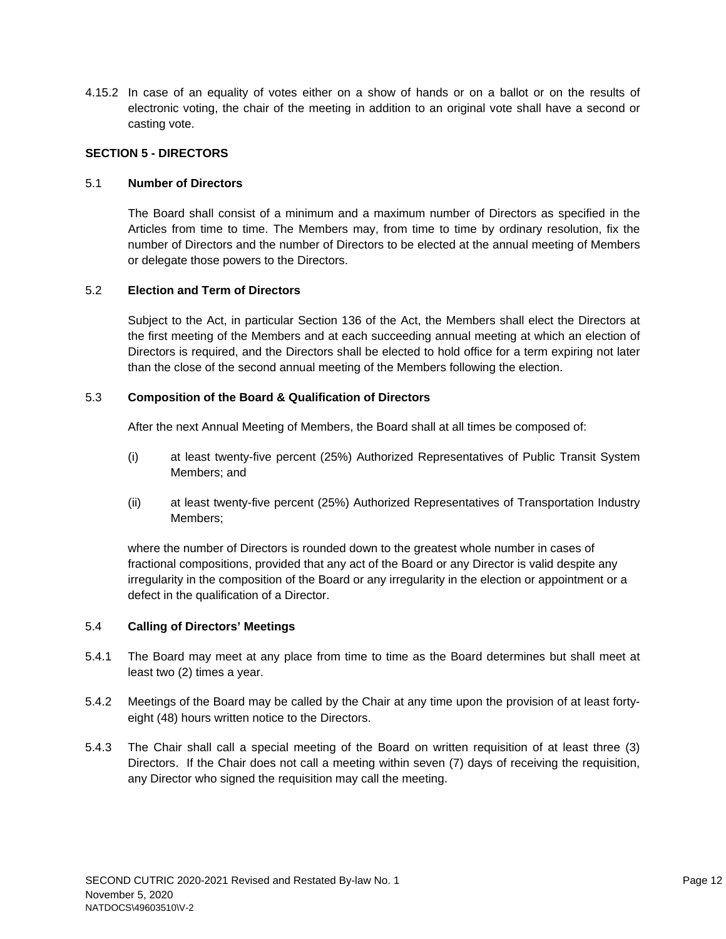4.15.2 In case of an equality of votes either on a show of hands or on a ballot or on the results of electronic voting, the chair of the meeting in addition to an original vote shall have a second or casting vote.

# **SECTION 5 - DIRECTORS**

# 5.1 **Number of Directors**

The Board shall consist of a minimum and a maximum number of Directors as specified in the Articles from time to time. The Members may, from time to time by ordinary resolution, fix the number of Directors and the number of Directors to be elected at the annual meeting of Members or delegate those powers to the Directors.

# 5.2 **Election and Term of Directors**

Subject to the Act, in particular Section 136 of the Act, the Members shall elect the Directors at the first meeting of the Members and at each succeeding annual meeting at which an election of Directors is required, and the Directors shall be elected to hold office for a term expiring not later than the close of the second annual meeting of the Members following the election.

# 5.3 **Composition of the Board & Qualification of Directors**

After the next Annual Meeting of Members, the Board shall at all times be composed of:

- (i) at least twenty-five percent (25%) Authorized Representatives of Public Transit System Members; and
- (ii) at least twenty-five percent (25%) Authorized Representatives of Transportation Industry Members;

where the number of Directors is rounded down to the greatest whole number in cases of fractional compositions, provided that any act of the Board or any Director is valid despite any irregularity in the composition of the Board or any irregularity in the election or appointment or a defect in the qualification of a Director.

# 5.4 **Calling of Directors' Meetings**

- 5.4.1 The Board may meet at any place from time to time as the Board determines but shall meet at least two (2) times a year.
- 5.4.2 Meetings of the Board may be called by the Chair at any time upon the provision of at least fortyeight (48) hours written notice to the Directors.
- 5.4.3 The Chair shall call a special meeting of the Board on written requisition of at least three (3) Directors. If the Chair does not call a meeting within seven (7) days of receiving the requisition, any Director who signed the requisition may call the meeting.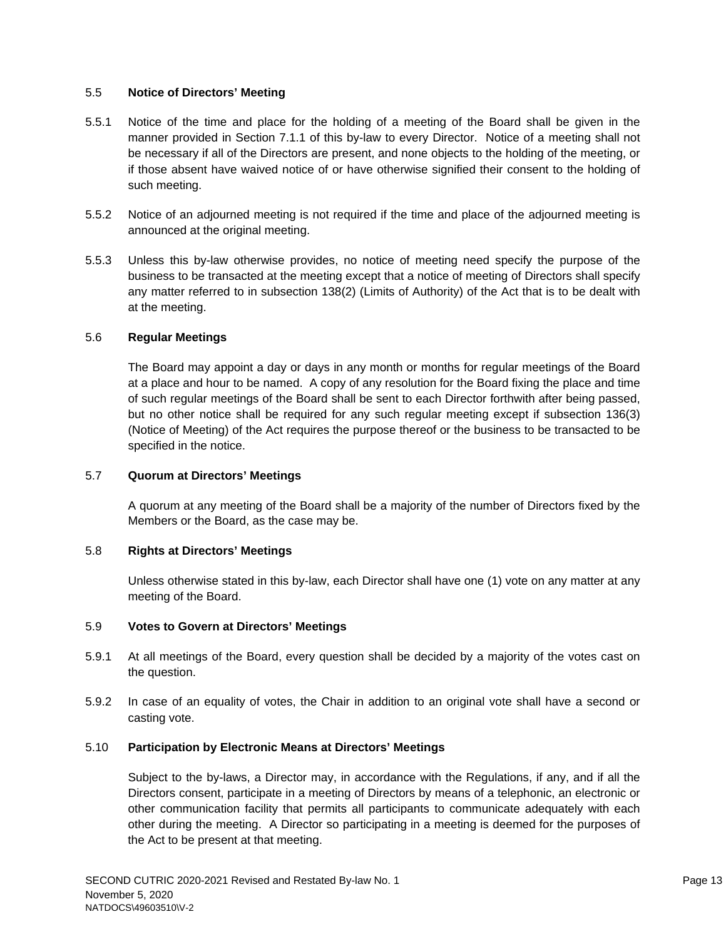## 5.5 **Notice of Directors' Meeting**

- 5.5.1 Notice of the time and place for the holding of a meeting of the Board shall be given in the manner provided in Section 7.1.1 of this by-law to every Director. Notice of a meeting shall not be necessary if all of the Directors are present, and none objects to the holding of the meeting, or if those absent have waived notice of or have otherwise signified their consent to the holding of such meeting.
- 5.5.2 Notice of an adjourned meeting is not required if the time and place of the adjourned meeting is announced at the original meeting.
- 5.5.3 Unless this by-law otherwise provides, no notice of meeting need specify the purpose of the business to be transacted at the meeting except that a notice of meeting of Directors shall specify any matter referred to in subsection 138(2) (Limits of Authority) of the Act that is to be dealt with at the meeting.

### 5.6 **Regular Meetings**

The Board may appoint a day or days in any month or months for regular meetings of the Board at a place and hour to be named. A copy of any resolution for the Board fixing the place and time of such regular meetings of the Board shall be sent to each Director forthwith after being passed, but no other notice shall be required for any such regular meeting except if subsection 136(3) (Notice of Meeting) of the Act requires the purpose thereof or the business to be transacted to be specified in the notice.

### 5.7 **Quorum at Directors' Meetings**

A quorum at any meeting of the Board shall be a majority of the number of Directors fixed by the Members or the Board, as the case may be.

### 5.8 **Rights at Directors' Meetings**

Unless otherwise stated in this by-law, each Director shall have one (1) vote on any matter at any meeting of the Board.

### 5.9 **Votes to Govern at Directors' Meetings**

- 5.9.1 At all meetings of the Board, every question shall be decided by a majority of the votes cast on the question.
- 5.9.2 In case of an equality of votes, the Chair in addition to an original vote shall have a second or casting vote.

### 5.10 **Participation by Electronic Means at Directors' Meetings**

Subject to the by-laws, a Director may, in accordance with the Regulations, if any, and if all the Directors consent, participate in a meeting of Directors by means of a telephonic, an electronic or other communication facility that permits all participants to communicate adequately with each other during the meeting. A Director so participating in a meeting is deemed for the purposes of the Act to be present at that meeting.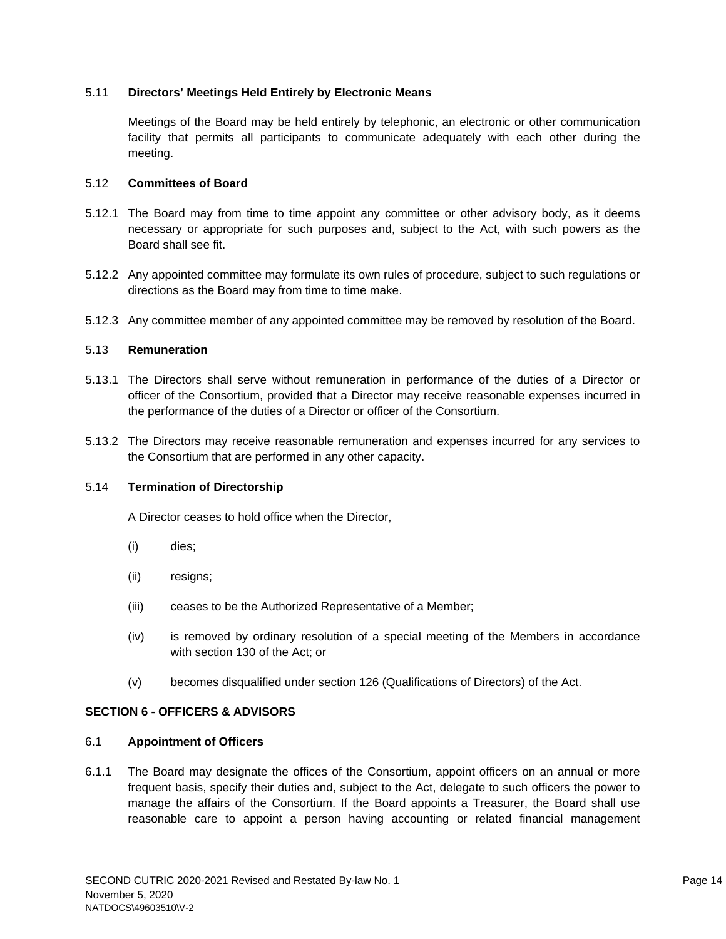## 5.11 **Directors' Meetings Held Entirely by Electronic Means**

Meetings of the Board may be held entirely by telephonic, an electronic or other communication facility that permits all participants to communicate adequately with each other during the meeting.

### 5.12 **Committees of Board**

- 5.12.1 The Board may from time to time appoint any committee or other advisory body, as it deems necessary or appropriate for such purposes and, subject to the Act, with such powers as the Board shall see fit.
- 5.12.2 Any appointed committee may formulate its own rules of procedure, subject to such regulations or directions as the Board may from time to time make.
- 5.12.3 Any committee member of any appointed committee may be removed by resolution of the Board.

### 5.13 **Remuneration**

- 5.13.1 The Directors shall serve without remuneration in performance of the duties of a Director or officer of the Consortium, provided that a Director may receive reasonable expenses incurred in the performance of the duties of a Director or officer of the Consortium.
- 5.13.2 The Directors may receive reasonable remuneration and expenses incurred for any services to the Consortium that are performed in any other capacity.

### 5.14 **Termination of Directorship**

A Director ceases to hold office when the Director,

- (i) dies;
- (ii) resigns;
- (iii) ceases to be the Authorized Representative of a Member;
- (iv) is removed by ordinary resolution of a special meeting of the Members in accordance with section 130 of the Act; or
- (v) becomes disqualified under section 126 (Qualifications of Directors) of the Act.

# **SECTION 6 - OFFICERS & ADVISORS**

### 6.1 **Appointment of Officers**

6.1.1 The Board may designate the offices of the Consortium, appoint officers on an annual or more frequent basis, specify their duties and, subject to the Act, delegate to such officers the power to manage the affairs of the Consortium. If the Board appoints a Treasurer, the Board shall use reasonable care to appoint a person having accounting or related financial management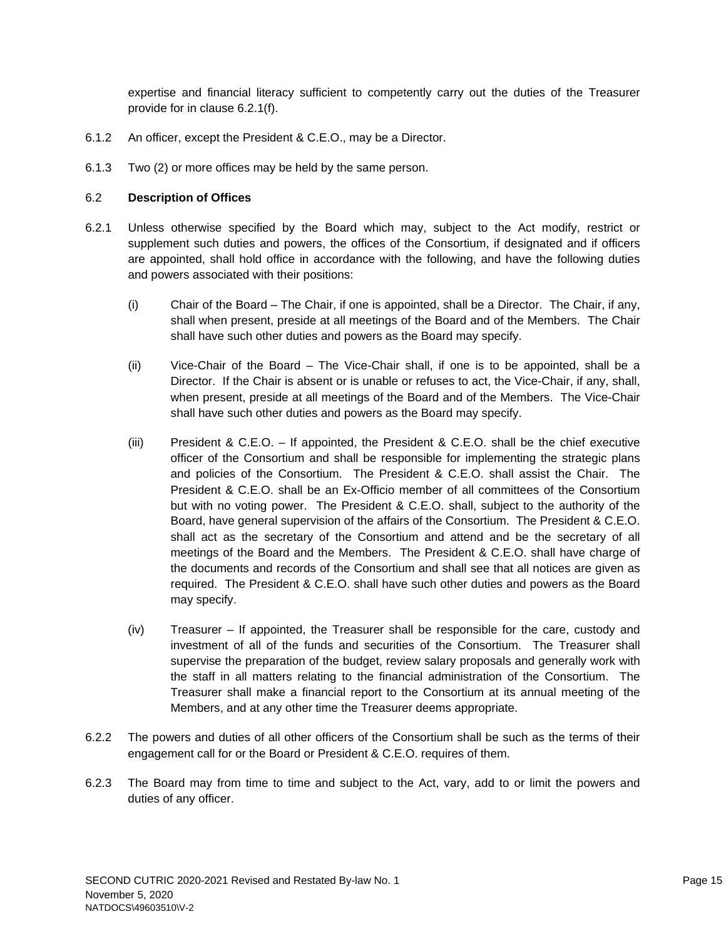expertise and financial literacy sufficient to competently carry out the duties of the Treasurer provide for in clause 6.2.1(f).

- 6.1.2 An officer, except the President & C.E.O., may be a Director.
- 6.1.3 Two (2) or more offices may be held by the same person.

# 6.2 **Description of Offices**

- 6.2.1 Unless otherwise specified by the Board which may, subject to the Act modify, restrict or supplement such duties and powers, the offices of the Consortium, if designated and if officers are appointed, shall hold office in accordance with the following, and have the following duties and powers associated with their positions:
	- (i) Chair of the Board The Chair, if one is appointed, shall be a Director. The Chair, if any, shall when present, preside at all meetings of the Board and of the Members. The Chair shall have such other duties and powers as the Board may specify.
	- (ii) Vice-Chair of the Board The Vice-Chair shall, if one is to be appointed, shall be a Director. If the Chair is absent or is unable or refuses to act, the Vice-Chair, if any, shall, when present, preside at all meetings of the Board and of the Members. The Vice-Chair shall have such other duties and powers as the Board may specify.
	- (iii) President & C.E.O. If appointed, the President & C.E.O. shall be the chief executive officer of the Consortium and shall be responsible for implementing the strategic plans and policies of the Consortium. The President & C.E.O. shall assist the Chair. The President & C.E.O. shall be an Ex-Officio member of all committees of the Consortium but with no voting power. The President & C.E.O. shall, subject to the authority of the Board, have general supervision of the affairs of the Consortium. The President & C.E.O. shall act as the secretary of the Consortium and attend and be the secretary of all meetings of the Board and the Members. The President & C.E.O. shall have charge of the documents and records of the Consortium and shall see that all notices are given as required. The President & C.E.O. shall have such other duties and powers as the Board may specify.
	- (iv) Treasurer If appointed, the Treasurer shall be responsible for the care, custody and investment of all of the funds and securities of the Consortium. The Treasurer shall supervise the preparation of the budget, review salary proposals and generally work with the staff in all matters relating to the financial administration of the Consortium. The Treasurer shall make a financial report to the Consortium at its annual meeting of the Members, and at any other time the Treasurer deems appropriate.
- 6.2.2 The powers and duties of all other officers of the Consortium shall be such as the terms of their engagement call for or the Board or President & C.E.O. requires of them.
- 6.2.3 The Board may from time to time and subject to the Act, vary, add to or limit the powers and duties of any officer.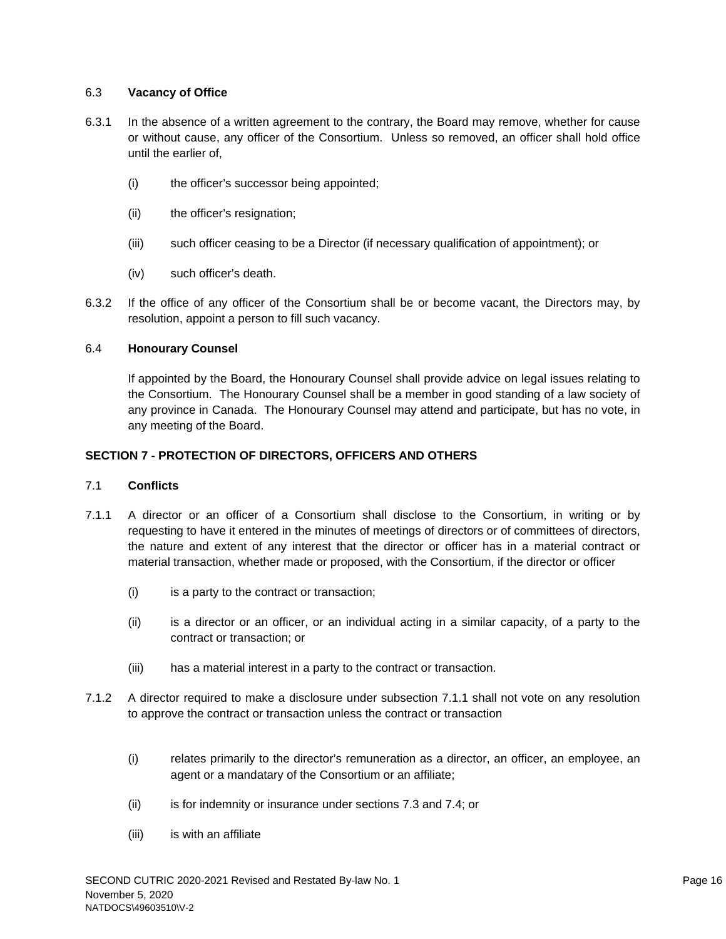# 6.3 **Vacancy of Office**

- 6.3.1 In the absence of a written agreement to the contrary, the Board may remove, whether for cause or without cause, any officer of the Consortium. Unless so removed, an officer shall hold office until the earlier of,
	- (i) the officer's successor being appointed;
	- (ii) the officer's resignation;
	- (iii) such officer ceasing to be a Director (if necessary qualification of appointment); or
	- (iv) such officer's death.
- 6.3.2 If the office of any officer of the Consortium shall be or become vacant, the Directors may, by resolution, appoint a person to fill such vacancy.

# 6.4 **Honourary Counsel**

If appointed by the Board, the Honourary Counsel shall provide advice on legal issues relating to the Consortium. The Honourary Counsel shall be a member in good standing of a law society of any province in Canada. The Honourary Counsel may attend and participate, but has no vote, in any meeting of the Board.

# **SECTION 7 - PROTECTION OF DIRECTORS, OFFICERS AND OTHERS**

# 7.1 **Conflicts**

- 7.1.1 A director or an officer of a Consortium shall disclose to the Consortium, in writing or by requesting to have it entered in the minutes of meetings of directors or of committees of directors, the nature and extent of any interest that the director or officer has in a material contract or material transaction, whether made or proposed, with the Consortium, if the director or officer
	- (i) is a party to the contract or transaction;
	- (ii) is a director or an officer, or an individual acting in a similar capacity, of a party to the contract or transaction; or
	- (iii) has a material interest in a party to the contract or transaction.
- 7.1.2 A director required to make a disclosure under subsection 7.1.1 shall not vote on any resolution to approve the contract or transaction unless the contract or transaction
	- (i) relates primarily to the director's remuneration as a director, an officer, an employee, an agent or a mandatary of the Consortium or an affiliate;
	- (ii) is for indemnity or insurance under sections 7.3 and 7.4; or
	- (iii) is with an affiliate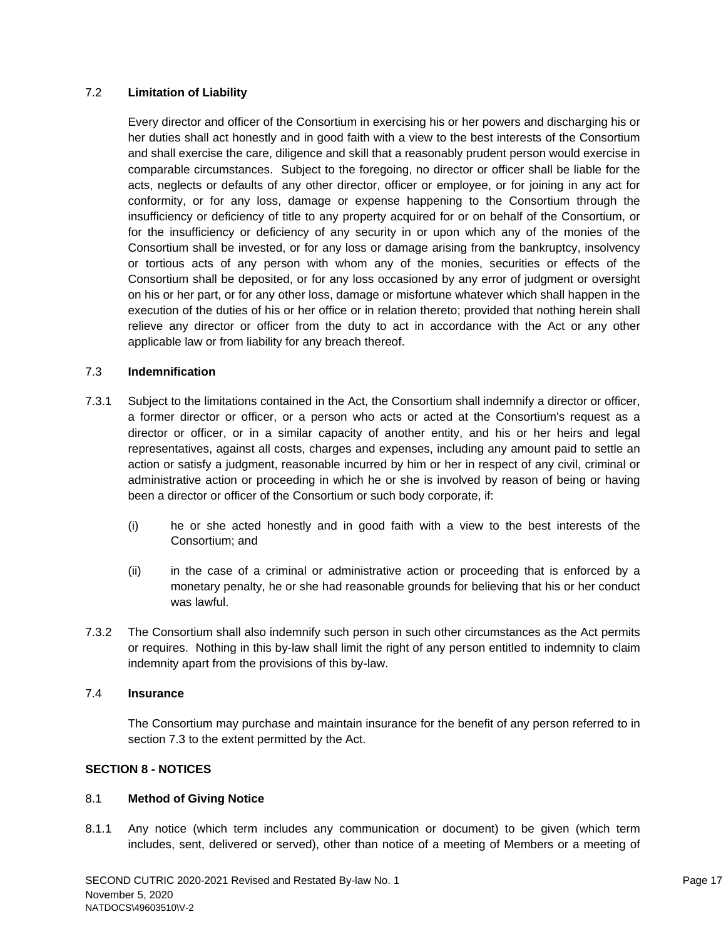# 7.2 **Limitation of Liability**

Every director and officer of the Consortium in exercising his or her powers and discharging his or her duties shall act honestly and in good faith with a view to the best interests of the Consortium and shall exercise the care, diligence and skill that a reasonably prudent person would exercise in comparable circumstances. Subject to the foregoing, no director or officer shall be liable for the acts, neglects or defaults of any other director, officer or employee, or for joining in any act for conformity, or for any loss, damage or expense happening to the Consortium through the insufficiency or deficiency of title to any property acquired for or on behalf of the Consortium, or for the insufficiency or deficiency of any security in or upon which any of the monies of the Consortium shall be invested, or for any loss or damage arising from the bankruptcy, insolvency or tortious acts of any person with whom any of the monies, securities or effects of the Consortium shall be deposited, or for any loss occasioned by any error of judgment or oversight on his or her part, or for any other loss, damage or misfortune whatever which shall happen in the execution of the duties of his or her office or in relation thereto; provided that nothing herein shall relieve any director or officer from the duty to act in accordance with the Act or any other applicable law or from liability for any breach thereof.

# 7.3 **Indemnification**

- 7.3.1 Subject to the limitations contained in the Act, the Consortium shall indemnify a director or officer, a former director or officer, or a person who acts or acted at the Consortium's request as a director or officer, or in a similar capacity of another entity, and his or her heirs and legal representatives, against all costs, charges and expenses, including any amount paid to settle an action or satisfy a judgment, reasonable incurred by him or her in respect of any civil, criminal or administrative action or proceeding in which he or she is involved by reason of being or having been a director or officer of the Consortium or such body corporate, if:
	- (i) he or she acted honestly and in good faith with a view to the best interests of the Consortium; and
	- (ii) in the case of a criminal or administrative action or proceeding that is enforced by a monetary penalty, he or she had reasonable grounds for believing that his or her conduct was lawful.
- 7.3.2 The Consortium shall also indemnify such person in such other circumstances as the Act permits or requires. Nothing in this by-law shall limit the right of any person entitled to indemnity to claim indemnity apart from the provisions of this by-law.

# 7.4 **Insurance**

The Consortium may purchase and maintain insurance for the benefit of any person referred to in section 7.3 to the extent permitted by the Act.

# **SECTION 8 - NOTICES**

### 8.1 **Method of Giving Notice**

8.1.1 Any notice (which term includes any communication or document) to be given (which term includes, sent, delivered or served), other than notice of a meeting of Members or a meeting of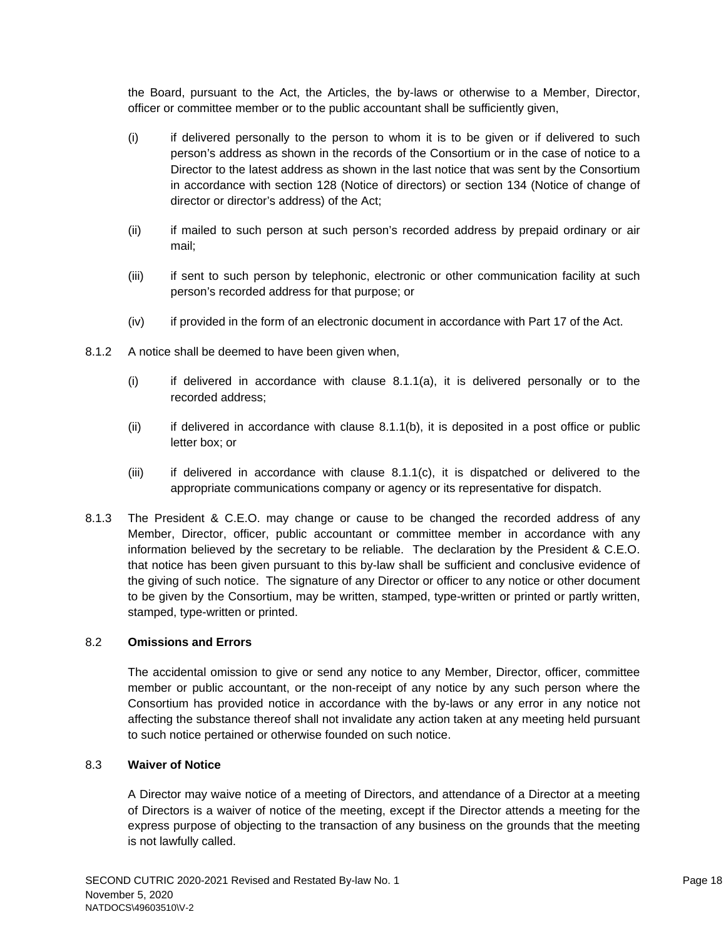the Board, pursuant to the Act, the Articles, the by-laws or otherwise to a Member, Director, officer or committee member or to the public accountant shall be sufficiently given,

- (i) if delivered personally to the person to whom it is to be given or if delivered to such person's address as shown in the records of the Consortium or in the case of notice to a Director to the latest address as shown in the last notice that was sent by the Consortium in accordance with section 128 (Notice of directors) or section 134 (Notice of change of director or director's address) of the Act;
- (ii) if mailed to such person at such person's recorded address by prepaid ordinary or air mail;
- (iii) if sent to such person by telephonic, electronic or other communication facility at such person's recorded address for that purpose; or
- (iv) if provided in the form of an electronic document in accordance with Part 17 of the Act.
- 8.1.2 A notice shall be deemed to have been given when,
	- $(i)$  if delivered in accordance with clause 8.1.1(a), it is delivered personally or to the recorded address;
	- $(i)$  if delivered in accordance with clause 8.1.1(b), it is deposited in a post office or public letter box; or
	- (iii) if delivered in accordance with clause 8.1.1(c), it is dispatched or delivered to the appropriate communications company or agency or its representative for dispatch.
- 8.1.3 The President & C.E.O. may change or cause to be changed the recorded address of any Member, Director, officer, public accountant or committee member in accordance with any information believed by the secretary to be reliable. The declaration by the President & C.E.O. that notice has been given pursuant to this by-law shall be sufficient and conclusive evidence of the giving of such notice. The signature of any Director or officer to any notice or other document to be given by the Consortium, may be written, stamped, type-written or printed or partly written, stamped, type-written or printed.

### 8.2 **Omissions and Errors**

The accidental omission to give or send any notice to any Member, Director, officer, committee member or public accountant, or the non-receipt of any notice by any such person where the Consortium has provided notice in accordance with the by-laws or any error in any notice not affecting the substance thereof shall not invalidate any action taken at any meeting held pursuant to such notice pertained or otherwise founded on such notice.

# 8.3 **Waiver of Notice**

A Director may waive notice of a meeting of Directors, and attendance of a Director at a meeting of Directors is a waiver of notice of the meeting, except if the Director attends a meeting for the express purpose of objecting to the transaction of any business on the grounds that the meeting is not lawfully called.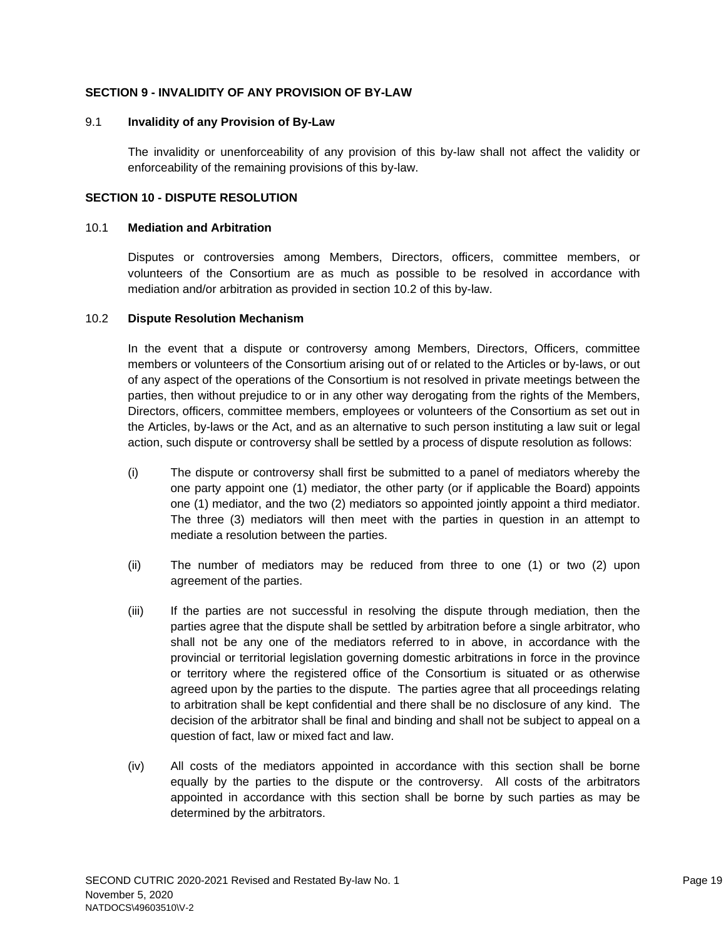## **SECTION 9 - INVALIDITY OF ANY PROVISION OF BY-LAW**

#### 9.1 **Invalidity of any Provision of By-Law**

The invalidity or unenforceability of any provision of this by-law shall not affect the validity or enforceability of the remaining provisions of this by-law.

#### **SECTION 10 - DISPUTE RESOLUTION**

#### 10.1 **Mediation and Arbitration**

Disputes or controversies among Members, Directors, officers, committee members, or volunteers of the Consortium are as much as possible to be resolved in accordance with mediation and/or arbitration as provided in section 10.2 of this by-law.

#### 10.2 **Dispute Resolution Mechanism**

In the event that a dispute or controversy among Members, Directors, Officers, committee members or volunteers of the Consortium arising out of or related to the Articles or by-laws, or out of any aspect of the operations of the Consortium is not resolved in private meetings between the parties, then without prejudice to or in any other way derogating from the rights of the Members, Directors, officers, committee members, employees or volunteers of the Consortium as set out in the Articles, by-laws or the Act, and as an alternative to such person instituting a law suit or legal action, such dispute or controversy shall be settled by a process of dispute resolution as follows:

- (i) The dispute or controversy shall first be submitted to a panel of mediators whereby the one party appoint one (1) mediator, the other party (or if applicable the Board) appoints one (1) mediator, and the two (2) mediators so appointed jointly appoint a third mediator. The three (3) mediators will then meet with the parties in question in an attempt to mediate a resolution between the parties.
- (ii) The number of mediators may be reduced from three to one (1) or two (2) upon agreement of the parties.
- (iii) If the parties are not successful in resolving the dispute through mediation, then the parties agree that the dispute shall be settled by arbitration before a single arbitrator, who shall not be any one of the mediators referred to in above, in accordance with the provincial or territorial legislation governing domestic arbitrations in force in the province or territory where the registered office of the Consortium is situated or as otherwise agreed upon by the parties to the dispute. The parties agree that all proceedings relating to arbitration shall be kept confidential and there shall be no disclosure of any kind. The decision of the arbitrator shall be final and binding and shall not be subject to appeal on a question of fact, law or mixed fact and law.
- (iv) All costs of the mediators appointed in accordance with this section shall be borne equally by the parties to the dispute or the controversy. All costs of the arbitrators appointed in accordance with this section shall be borne by such parties as may be determined by the arbitrators.